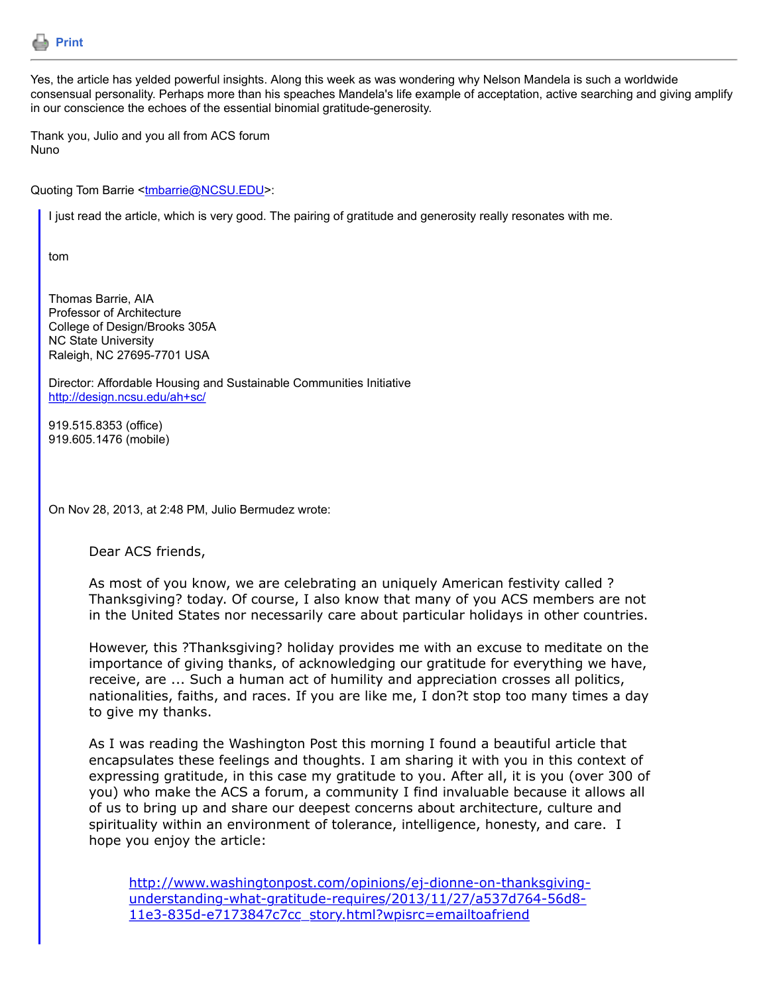

Yes, the article has yelded powerful insights. Along this week as was wondering why Nelson Mandela is such a worldwide consensual personality. Perhaps more than his speaches Mandela's life example of acceptation, active searching and giving amplify in our conscience the echoes of the essential binomial gratitude-generosity.

Thank you, Julio and you all from ACS forum Nuno

Quoting Tom Barrie [<tmbarrie@NCSU.EDU](mailto:tmbarrie@NCSU.EDU)>:

I just read the article, which is very good. The pairing of gratitude and generosity really resonates with me.

tom

Thomas Barrie, AIA Professor of Architecture College of Design/Brooks 305A NC State University Raleigh, NC 27695-7701 USA

Director: Affordable Housing and Sustainable Communities Initiative <http://design.ncsu.edu/ah+sc/>

919.515.8353 (office) 919.605.1476 (mobile)

On Nov 28, 2013, at 2:48 PM, Julio Bermudez wrote:

Dear ACS friends,

As most of you know, we are celebrating an uniquely American festivity called ? Thanksgiving? today. Of course, I also know that many of you ACS members are not in the United States nor necessarily care about particular holidays in other countries.

However, this ?Thanksgiving? holiday provides me with an excuse to meditate on the importance of giving thanks, of acknowledging our gratitude for everything we have, receive, are ... Such a human act of humility and appreciation crosses all politics, nationalities, faiths, and races. If you are like me, I don?t stop too many times a day to give my thanks.

As I was reading the Washington Post this morning I found a beautiful article that encapsulates these feelings and thoughts. I am sharing it with you in this context of expressing gratitude, in this case my gratitude to you. After all, it is you (over 300 of you) who make the ACS a forum, a community I find invaluable because it allows all of us to bring up and share our deepest concerns about architecture, culture and spirituality within an environment of tolerance, intelligence, honesty, and care. I hope you enjoy the article:

[http://www.washingtonpost.com/opinions/ej-dionne-on-thanksgiving](http://www.washingtonpost.com/opinions/ej-dionne-on-thanksgiving-understanding-what-gratitude-requires/2013/11/27/a537d764-56d8-11e3-835d-e7173847c7cc_story.html?wpisrc=emailtoafriend)understanding-what-gratitude-requires/2013/11/27/a537d764-56d8- 11e3-835d-e7173847c7cc\_story.html?wpisrc=emailtoafriend